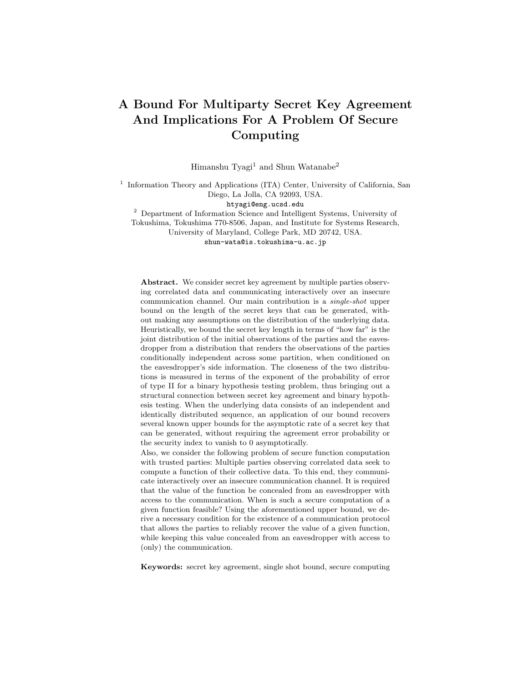# A Bound For Multiparty Secret Key Agreement And Implications For A Problem Of Secure Computing

Himanshu Tyagi<sup>1</sup> and Shun Watanabe<sup>2</sup>

<sup>1</sup> Information Theory and Applications (ITA) Center, University of California, San Diego, La Jolla, CA 92093, USA.

htyagi@eng.ucsd.edu

<sup>2</sup> Department of Information Science and Intelligent Systems, University of Tokushima, Tokushima 770-8506, Japan, and Institute for Systems Research, University of Maryland, College Park, MD 20742, USA. shun-wata@is.tokushima-u.ac.jp

Abstract. We consider secret key agreement by multiple parties observing correlated data and communicating interactively over an insecure communication channel. Our main contribution is a single-shot upper bound on the length of the secret keys that can be generated, without making any assumptions on the distribution of the underlying data. Heuristically, we bound the secret key length in terms of "how far" is the joint distribution of the initial observations of the parties and the eavesdropper from a distribution that renders the observations of the parties conditionally independent across some partition, when conditioned on the eavesdropper's side information. The closeness of the two distributions is measured in terms of the exponent of the probability of error of type II for a binary hypothesis testing problem, thus bringing out a structural connection between secret key agreement and binary hypothesis testing. When the underlying data consists of an independent and identically distributed sequence, an application of our bound recovers several known upper bounds for the asymptotic rate of a secret key that can be generated, without requiring the agreement error probability or the security index to vanish to 0 asymptotically.

Also, we consider the following problem of secure function computation with trusted parties: Multiple parties observing correlated data seek to compute a function of their collective data. To this end, they communicate interactively over an insecure communication channel. It is required that the value of the function be concealed from an eavesdropper with access to the communication. When is such a secure computation of a given function feasible? Using the aforementioned upper bound, we derive a necessary condition for the existence of a communication protocol that allows the parties to reliably recover the value of a given function, while keeping this value concealed from an eavesdropper with access to (only) the communication.

Keywords: secret key agreement, single shot bound, secure computing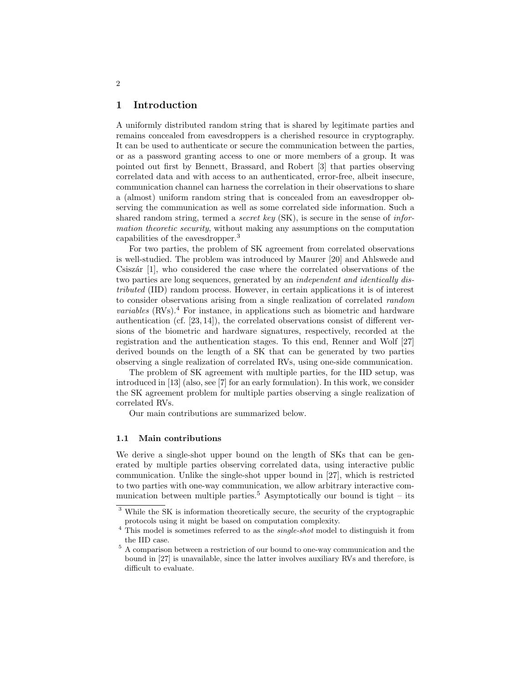# 1 Introduction

A uniformly distributed random string that is shared by legitimate parties and remains concealed from eavesdroppers is a cherished resource in cryptography. It can be used to authenticate or secure the communication between the parties, or as a password granting access to one or more members of a group. It was pointed out first by Bennett, Brassard, and Robert [3] that parties observing correlated data and with access to an authenticated, error-free, albeit insecure, communication channel can harness the correlation in their observations to share a (almost) uniform random string that is concealed from an eavesdropper observing the communication as well as some correlated side information. Such a shared random string, termed a *secret key*  $(SK)$ , is secure in the sense of *infor*mation theoretic security, without making any assumptions on the computation capabilities of the eavesdropper.<sup>3</sup>

For two parties, the problem of SK agreement from correlated observations is well-studied. The problem was introduced by Maurer [20] and Ahlswede and Csiszár  $[1]$ , who considered the case where the correlated observations of the two parties are long sequences, generated by an independent and identically distributed (IID) random process. However, in certain applications it is of interest to consider observations arising from a single realization of correlated random variables (RVs).<sup>4</sup> For instance, in applications such as biometric and hardware authentication (cf. [23, 14]), the correlated observations consist of different versions of the biometric and hardware signatures, respectively, recorded at the registration and the authentication stages. To this end, Renner and Wolf [27] derived bounds on the length of a SK that can be generated by two parties observing a single realization of correlated RVs, using one-side communication.

The problem of SK agreement with multiple parties, for the IID setup, was introduced in [13] (also, see [7] for an early formulation). In this work, we consider the SK agreement problem for multiple parties observing a single realization of correlated RVs.

Our main contributions are summarized below.

#### 1.1 Main contributions

We derive a single-shot upper bound on the length of SKs that can be generated by multiple parties observing correlated data, using interactive public communication. Unlike the single-shot upper bound in [27], which is restricted to two parties with one-way communication, we allow arbitrary interactive communication between multiple parties.<sup>5</sup> Asymptotically our bound is tight – its

<sup>&</sup>lt;sup>3</sup> While the SK is information theoretically secure, the security of the cryptographic protocols using it might be based on computation complexity.

<sup>&</sup>lt;sup>4</sup> This model is sometimes referred to as the *single-shot* model to distinguish it from the IID case.

 $^5$  A comparison between a restriction of our bound to one-way communication and the  $\,$ bound in [27] is unavailable, since the latter involves auxiliary RVs and therefore, is difficult to evaluate.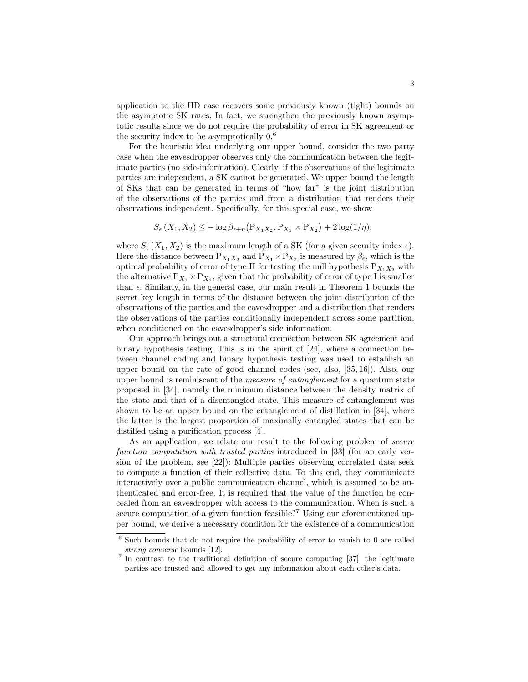application to the IID case recovers some previously known (tight) bounds on the asymptotic SK rates. In fact, we strengthen the previously known asymptotic results since we do not require the probability of error in SK agreement or the security index to be asymptotically  $0<sup>6</sup>$ 

For the heuristic idea underlying our upper bound, consider the two party case when the eavesdropper observes only the communication between the legitimate parties (no side-information). Clearly, if the observations of the legitimate parties are independent, a SK cannot be generated. We upper bound the length of SKs that can be generated in terms of "how far" is the joint distribution of the observations of the parties and from a distribution that renders their observations independent. Specifically, for this special case, we show

$$
S_{\epsilon}(X_1, X_2) \le -\log \beta_{\epsilon + \eta} (P_{X_1 X_2}, P_{X_1} \times P_{X_2}) + 2 \log(1/\eta),
$$

where  $S_{\epsilon}(X_1, X_2)$  is the maximum length of a SK (for a given security index  $\epsilon$ ). Here the distance between  $P_{X_1X_2}$  and  $P_{X_1} \times P_{X_2}$  is measured by  $\beta_{\epsilon}$ , which is the optimal probability of error of type II for testing the null hypothesis  $P_{X_1X_2}$  with the alternative  $P_{X_1} \times P_{X_2}$ , given that the probability of error of type I is smaller than  $\epsilon$ . Similarly, in the general case, our main result in Theorem 1 bounds the secret key length in terms of the distance between the joint distribution of the observations of the parties and the eavesdropper and a distribution that renders the observations of the parties conditionally independent across some partition, when conditioned on the eavesdropper's side information.

Our approach brings out a structural connection between SK agreement and binary hypothesis testing. This is in the spirit of [24], where a connection between channel coding and binary hypothesis testing was used to establish an upper bound on the rate of good channel codes (see, also, [35, 16]). Also, our upper bound is reminiscent of the measure of entanglement for a quantum state proposed in [34], namely the minimum distance between the density matrix of the state and that of a disentangled state. This measure of entanglement was shown to be an upper bound on the entanglement of distillation in [34], where the latter is the largest proportion of maximally entangled states that can be distilled using a purification process [4].

As an application, we relate our result to the following problem of secure function computation with trusted parties introduced in [33] (for an early version of the problem, see [22]): Multiple parties observing correlated data seek to compute a function of their collective data. To this end, they communicate interactively over a public communication channel, which is assumed to be authenticated and error-free. It is required that the value of the function be concealed from an eavesdropper with access to the communication. When is such a secure computation of a given function feasible?<sup>7</sup> Using our aforementioned upper bound, we derive a necessary condition for the existence of a communication

<sup>6</sup> Such bounds that do not require the probability of error to vanish to 0 are called strong converse bounds [12].

<sup>&</sup>lt;sup>7</sup> In contrast to the traditional definition of secure computing [37], the legitimate parties are trusted and allowed to get any information about each other's data.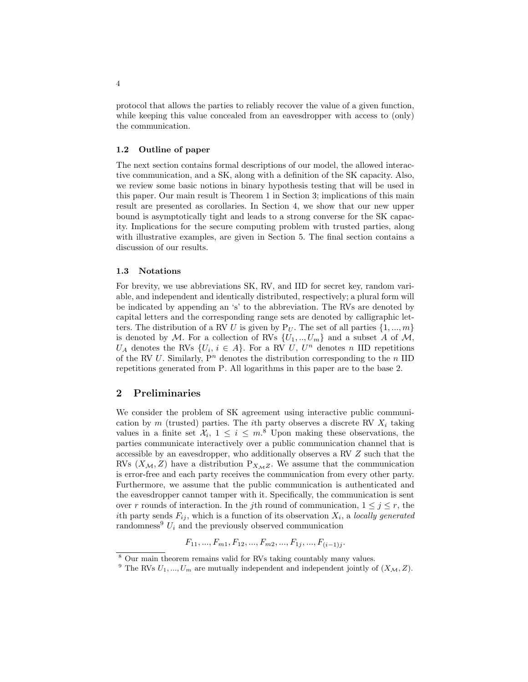protocol that allows the parties to reliably recover the value of a given function, while keeping this value concealed from an eavesdropper with access to (only) the communication.

#### 1.2 Outline of paper

The next section contains formal descriptions of our model, the allowed interactive communication, and a SK, along with a definition of the SK capacity. Also, we review some basic notions in binary hypothesis testing that will be used in this paper. Our main result is Theorem 1 in Section 3; implications of this main result are presented as corollaries. In Section 4, we show that our new upper bound is asymptotically tight and leads to a strong converse for the SK capacity. Implications for the secure computing problem with trusted parties, along with illustrative examples, are given in Section 5. The final section contains a discussion of our results.

#### 1.3 Notations

For brevity, we use abbreviations SK, RV, and IID for secret key, random variable, and independent and identically distributed, respectively; a plural form will be indicated by appending an 's' to the abbreviation. The RVs are denoted by capital letters and the corresponding range sets are denoted by calligraphic letters. The distribution of a RV U is given by  $P_U$ . The set of all parties  $\{1, ..., m\}$ is denoted by M. For a collection of RVs  $\{U_1, ..., U_m\}$  and a subset A of M,  $U_A$  denotes the RVs  $\{U_i, i \in A\}$ . For a RV U,  $U^n$  denotes n IID repetitions of the RV  $U$ . Similarly,  $P<sup>n</sup>$  denotes the distribution corresponding to the n IID repetitions generated from P. All logarithms in this paper are to the base 2.

# 2 Preliminaries

We consider the problem of SK agreement using interactive public communication by m (trusted) parties. The *i*th party observes a discrete RV  $X_i$  taking values in a finite set  $\mathcal{X}_i$ ,  $1 \leq i \leq m$ .<sup>8</sup> Upon making these observations, the parties communicate interactively over a public communication channel that is accessible by an eavesdropper, who additionally observes a RV Z such that the RVs  $(X_{\mathcal{M}}, Z)$  have a distribution  $P_{X_{\mathcal{M}}Z}$ . We assume that the communication is error-free and each party receives the communication from every other party. Furthermore, we assume that the public communication is authenticated and the eavesdropper cannot tamper with it. Specifically, the communication is sent over r rounds of interaction. In the jth round of communication,  $1 \leq j \leq r$ , the ith party sends  $F_{ij}$ , which is a function of its observation  $X_i$ , a locally generated randomness<sup>9</sup>  $U_i$  and the previously observed communication

 $F_{11},..., F_{m1}, F_{12},..., F_{m2},..., F_{1j},..., F_{(i-1)j}.$ 

 $\frac{8}{8}$  Our main theorem remains valid for RVs taking countably many values.

<sup>&</sup>lt;sup>9</sup> The RVs  $U_1, ..., U_m$  are mutually independent and independent jointly of  $(X_\mathcal{M}, Z)$ .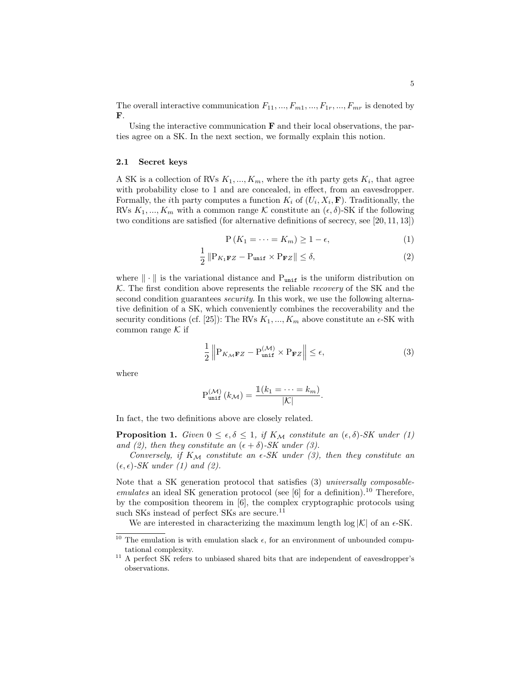The overall interactive communication  $F_{11},..., F_{m1},..., F_{1r},..., F_{mr}$  is denoted by F.

Using the interactive communication  $\bf{F}$  and their local observations, the parties agree on a SK. In the next section, we formally explain this notion.

#### 2.1 Secret keys

A SK is a collection of RVs  $K_1, ..., K_m$ , where the *i*<sup>th</sup> party gets  $K_i$ , that agree with probability close to 1 and are concealed, in effect, from an eavesdropper. Formally, the *i*th party computes a function  $K_i$  of  $(U_i, X_i, \mathbf{F})$ . Traditionally, the RVs  $K_1, ..., K_m$  with a common range K constitute an  $(\epsilon, \delta)$ -SK if the following two conditions are satisfied (for alternative definitions of secrecy, see [20, 11, 13])

$$
P(K_1 = \dots = K_m) \ge 1 - \epsilon,\tag{1}
$$

$$
\frac{1}{2} \left\| \mathbf{P}_{K_1 \mathbf{F} Z} - \mathbf{P}_{\text{unif}} \times \mathbf{P}_{\mathbf{F} Z} \right\| \le \delta,
$$
\n(2)

where  $\|\cdot\|$  is the variational distance and  $P_{\text{unif}}$  is the uniform distribution on  $K$ . The first condition above represents the reliable *recovery* of the SK and the second condition guarantees *security*. In this work, we use the following alternative definition of a SK, which conveniently combines the recoverability and the security conditions (cf. [25]): The RVs  $K_1, ..., K_m$  above constitute an  $\epsilon$ -SK with common range  $K$  if

$$
\frac{1}{2} \left\| P_{K_{\mathcal{M}} \mathbf{F}Z} - P_{\text{unif}}^{(\mathcal{M})} \times P_{\mathbf{F}Z} \right\| \le \epsilon,
$$
\n(3)

where

$$
P_{\text{unif}}^{(\mathcal{M})}(k_{\mathcal{M}}) = \frac{\mathbb{1}(k_1 = \cdots = k_m)}{|\mathcal{K}|}.
$$

In fact, the two definitions above are closely related.

**Proposition 1.** Given  $0 \leq \epsilon, \delta \leq 1$ , if  $K_{\mathcal{M}}$  constitute an  $(\epsilon, \delta)$ -SK under (1) and (2), then they constitute an  $(\epsilon + \delta)$ -SK under (3).

Conversely, if  $K_{\mathcal{M}}$  constitute an  $\epsilon$ -SK under (3), then they constitute an  $(\epsilon, \epsilon)$ -SK under (1) and (2).

Note that a SK generation protocol that satisfies (3) universally composable $emulates$  an ideal SK generation protocol (see [6] for a definition).<sup>10</sup> Therefore, by the composition theorem in [6], the complex cryptographic protocols using such SKs instead of perfect SKs are secure.<sup>11</sup>

We are interested in characterizing the maximum length log  $|K|$  of an  $\epsilon$ -SK.

<sup>&</sup>lt;sup>10</sup> The emulation is with emulation slack  $\epsilon$ , for an environment of unbounded computational complexity.

 $11$  A perfect SK refers to unbiased shared bits that are independent of eavesdropper's observations.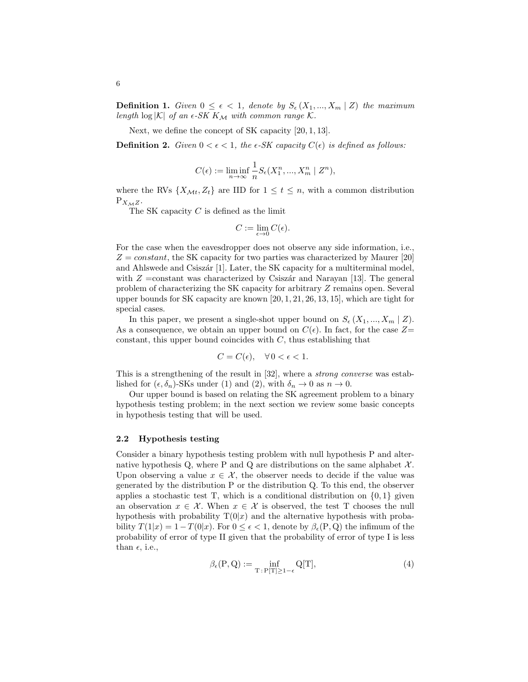**Definition 1.** Given  $0 \leq \epsilon < 1$ , denote by  $S_{\epsilon}(X_1, ..., X_m | Z)$  the maximum length  $\log |\mathcal{K}|$  of an  $\epsilon$ -SK  $K_{\mathcal{M}}$  with common range  $\mathcal{K}$ .

Next, we define the concept of SK capacity [20, 1, 13].

**Definition 2.** Given  $0 < \epsilon < 1$ , the  $\epsilon$ -SK capacity  $C(\epsilon)$  is defined as follows:

$$
C(\epsilon) := \liminf_{n \to \infty} \frac{1}{n} S_{\epsilon}(X_1^n, ..., X_m^n \mid Z^n),
$$

where the RVs  $\{X_{Mt}, Z_t\}$  are IID for  $1 \le t \le n$ , with a common distribution  $P_{X_{\mathcal{M}}}Z$ .

The SK capacity  $C$  is defined as the limit

$$
C:=\lim_{\epsilon\to 0}C(\epsilon).
$$

For the case when the eavesdropper does not observe any side information, i.e.,  $Z = constant$ , the SK capacity for two parties was characterized by Maurer [20] and Ahlswede and Csiszár  $[1]$ . Later, the SK capacity for a multiterminal model, with  $Z = constant$  was characterized by Csiszár and Narayan [13]. The general problem of characterizing the SK capacity for arbitrary Z remains open. Several upper bounds for SK capacity are known [20, 1, 21, 26, 13, 15], which are tight for special cases.

In this paper, we present a single-shot upper bound on  $S_{\epsilon}(X_1, ..., X_m | Z)$ . As a consequence, we obtain an upper bound on  $C(\epsilon)$ . In fact, for the case  $Z=$ constant, this upper bound coincides with  $C$ , thus establishing that

$$
C = C(\epsilon), \quad \forall \, 0 < \epsilon < 1.
$$

This is a strengthening of the result in [32], where a strong converse was established for  $(\epsilon, \delta_n)$ -SKs under (1) and (2), with  $\delta_n \to 0$  as  $n \to 0$ .

Our upper bound is based on relating the SK agreement problem to a binary hypothesis testing problem; in the next section we review some basic concepts in hypothesis testing that will be used.

#### 2.2 Hypothesis testing

Consider a binary hypothesis testing problem with null hypothesis P and alternative hypothesis Q, where P and Q are distributions on the same alphabet  $\mathcal{X}$ . Upon observing a value  $x \in \mathcal{X}$ , the observer needs to decide if the value was generated by the distribution P or the distribution Q. To this end, the observer applies a stochastic test T, which is a conditional distribution on  $\{0, 1\}$  given an observation  $x \in \mathcal{X}$ . When  $x \in \mathcal{X}$  is observed, the test T chooses the null hypothesis with probability  $T(0|x)$  and the alternative hypothesis with probability  $T(1|x) = 1 - T(0|x)$ . For  $0 \le \epsilon < 1$ , denote by  $\beta_{\epsilon}(P,Q)$  the infimum of the probability of error of type II given that the probability of error of type I is less than  $\epsilon$ , i.e.,

$$
\beta_{\epsilon}(\mathbf{P}, \mathbf{Q}) := \inf_{\mathbf{T} : \mathbf{P}[\mathbf{T}] \ge 1 - \epsilon} \mathbf{Q}[\mathbf{T}],
$$
\n(4)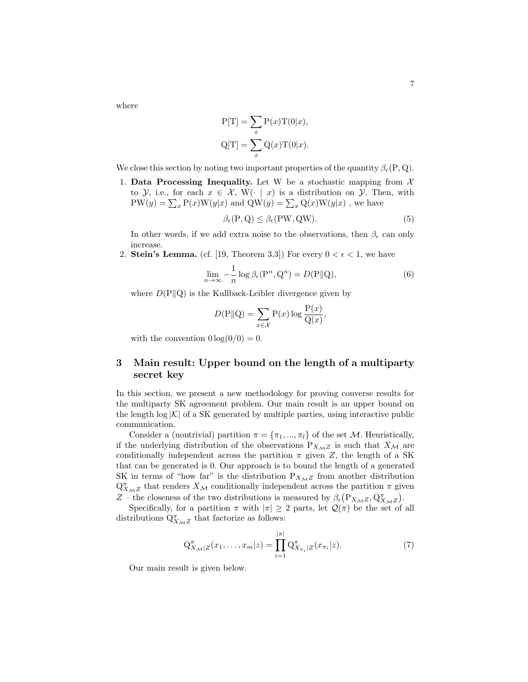where

$$
P[T] = \sum_{x} P(x)T(0|x),
$$
  

$$
Q[T] = \sum_{x} Q(x)T(0|x).
$$

We close this section by noting two important properties of the quantity  $\beta_{\epsilon}(P, Q)$ .

1. Data Processing Inequality. Let W be a stochastic mapping from  $\mathcal{X}$ to Y, i.e., for each  $x \in \mathcal{X}$ , W( $\cdot \mid x$ ) is a distribution on Y. Then, with  $PW(y) = \sum_x P(x)W(y|x)$  and  $QW(y) = \sum_x Q(x)W(y|x)$ , we have

$$
\beta_{\epsilon}(\mathbf{P}, \mathbf{Q}) \le \beta_{\epsilon}(\mathbf{PW}, \mathbf{QW}).\tag{5}
$$

In other words, if we add extra noise to the observations, then  $\beta_{\epsilon}$  can only increase.

2. Stein's Lemma. (cf. [19, Theorem 3.3]) For every  $0 < \epsilon < 1$ , we have

$$
\lim_{n \to \infty} -\frac{1}{n} \log \beta_{\epsilon}(\mathbf{P}^n, \mathbf{Q}^n) = D(\mathbf{P} \| \mathbf{Q}),\tag{6}
$$

where  $D(P||Q)$  is the Kullback-Leibler divergence given by

$$
D(P||Q) = \sum_{x \in \mathcal{X}} P(x) \log \frac{P(x)}{Q(x)},
$$

with the convention  $0 \log(0/0) = 0$ .

# 3 Main result: Upper bound on the length of a multiparty secret key

In this section, we present a new methodology for proving converse results for the multiparty SK agreement problem. Our main result is an upper bound on the length  $\log |\mathcal{K}|$  of a SK generated by multiple parties, using interactive public communication.

Consider a (nontrivial) partition  $\pi = {\pi_1, ..., \pi_l}$  of the set *M*. Heuristically, if the underlying distribution of the observations  $P_{X_{\mathcal{M}}Z}$  is such that  $X_{\mathcal{M}}$  are conditionally independent across the partition  $\pi$  given Z, the length of a SK that can be generated is 0. Our approach is to bound the length of a generated SK in terms of "how far" is the distribution  $P_{X_{MZ}}$  from another distribution  $\mathbf{Q}_{X_{\mathcal{M}}Z}^{\pi}$  that renders  $X_{\mathcal{M}}$  conditionally independent across the partition  $\pi$  given Z – the closeness of the two distributions is measured by  $\beta_{\epsilon} (P_{X_{\mathcal{M}}Z}, Q_{X_{\mathcal{M}}Z}^{\pi})$ .

Specifically, for a partition  $\pi$  with  $|\pi| \geq 2$  parts, let  $\mathcal{Q}(\pi)$  be the set of all distributions  $Q_{X_{\mathcal{M}}Z}^{\pi}$  that factorize as follows:

$$
Q_{X_{\mathcal{M}}|Z}^{\pi}(x_1,\ldots,x_m|z) = \prod_{i=1}^{|\pi|} Q_{X_{\pi_i}|Z}^{\pi}(x_{\pi_i}|z). \tag{7}
$$

Our main result is given below.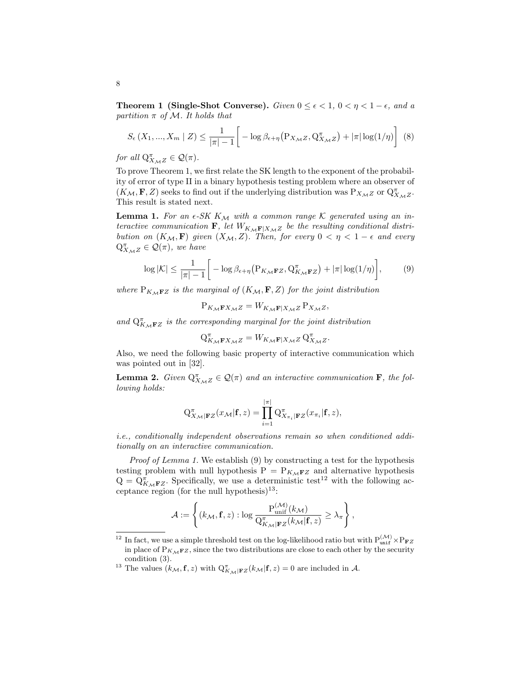**Theorem 1 (Single-Shot Converse).** Given  $0 \le \epsilon < 1$ ,  $0 < \eta < 1 - \epsilon$ , and a partition  $\pi$  of M. It holds that

$$
S_{\epsilon}(X_1, ..., X_m \mid Z) \le \frac{1}{|\pi| - 1} \left[ -\log \beta_{\epsilon + \eta} \left( \mathbf{P}_{X_{\mathcal{M}}Z}, \mathbf{Q}_{X_{\mathcal{M}}Z}^{\pi} \right) + |\pi| \log(1/\eta) \right] \tag{8}
$$

for all  $Q_{X_{\mathcal{M}}Z}^{\pi} \in \mathcal{Q}(\pi)$ .

8

To prove Theorem 1, we first relate the SK length to the exponent of the probability of error of type II in a binary hypothesis testing problem where an observer of  $(K_{\mathcal{M}}, \mathbf{F}, Z)$  seeks to find out if the underlying distribution was  $P_{X_{\mathcal{M}}Z}$  or  $Q_{X_{\mathcal{M}}Z}^{\pi}$ . This result is stated next.

**Lemma 1.** For an  $\epsilon$ -SK  $K_{\mathcal{M}}$  with a common range K generated using an interactive communication **F**, let  $W_{K_{\mathcal{M}}\mathbf{F}|X_{\mathcal{M}}Z}$  be the resulting conditional distribution on  $(K_{\mathcal{M}}, \mathbf{F})$  given  $(X_{\mathcal{M}}, Z)$ . Then, for every  $0 < \eta < 1 - \epsilon$  and every  $Q_{X_{\mathcal{M}}Z}^{\pi} \in \mathcal{Q}(\pi)$ , we have

$$
\log |\mathcal{K}| \le \frac{1}{|\pi| - 1} \bigg[ -\log \beta_{\epsilon + \eta} \big( P_{K_{\mathcal{M}} \mathbf{F} Z}, Q_{K_{\mathcal{M}} \mathbf{F} Z}^{\pi} \big) + |\pi| \log(1/\eta) \bigg], \qquad (9)
$$

where  $P_{K_{\mathcal{M}}\mathbf{F}Z}$  is the marginal of  $(K_{\mathcal{M}}, \mathbf{F}, Z)$  for the joint distribution

$$
P_{K_{\mathcal{M}} \mathbf{F} X_{\mathcal{M}} Z} = W_{K_{\mathcal{M}} \mathbf{F} | X_{\mathcal{M}} Z} P_{X_{\mathcal{M}} Z},
$$

and  $Q_{K_{\mathcal{M}}\mathbf{FZ}}^{\pi}$  is the corresponding marginal for the joint distribution

$$
Q_{K_{\mathcal{M}}\mathbf{F} X_{\mathcal{M}}Z}^{\pi} = W_{K_{\mathcal{M}}\mathbf{F}|X_{\mathcal{M}}Z} Q_{X_{\mathcal{M}}Z}^{\pi}.
$$

Also, we need the following basic property of interactive communication which was pointed out in [32].

**Lemma 2.** Given  $Q_{X_{\mathcal{M}}Z}^{\pi} \in \mathcal{Q}(\pi)$  and an interactive communication **F**, the following holds:

$$
Q_{X_{\mathcal{M}}|\mathbf{F}Z}^{\pi}(x_{\mathcal{M}}|\mathbf{f},z) = \prod_{i=1}^{|\pi|} Q_{X_{\pi_i}|\mathbf{F}Z}^{\pi}(x_{\pi_i}|\mathbf{f},z),
$$

i.e., conditionally independent observations remain so when conditioned additionally on an interactive communication.

Proof of Lemma 1. We establish (9) by constructing a test for the hypothesis testing problem with null hypothesis  $P = P_{K_{\mathcal{M}}FZ}$  and alternative hypothesis  $Q = Q_{K_{\mathcal{M}}\mathbf{FZ}}^{\pi}$ . Specifically, we use a deterministic test<sup>12</sup> with the following acceptance region (for the null hypothesis)<sup>13</sup>:

$$
\mathcal{A} := \left\{ (k_{\mathcal{M}}, \mathbf{f}, z) : \log \frac{P_{\text{unif}}^{(\mathcal{M})}(k_{\mathcal{M}})}{Q_{K_{\mathcal{M}}|\mathbf{F}Z}^{\pi}(k_{\mathcal{M}}|\mathbf{f}, z)} \geq \lambda_{\pi} \right\},\
$$

<sup>&</sup>lt;sup>12</sup> In fact, we use a simple threshold test on the log-likelihood ratio but with  $P_{unit}^{(M)} \times P_{FZ}$ in place of  $P_{K_{\mathcal{M}}\mathbf{FZ}}$ , since the two distributions are close to each other by the security condition (3).

<sup>&</sup>lt;sup>13</sup> The values  $(k_{\mathcal{M}}, \mathbf{f}, z)$  with  $Q_{K_{\mathcal{M}}|\mathbf{F}Z}^{\pi}(k_{\mathcal{M}}|\mathbf{f}, z) = 0$  are included in A.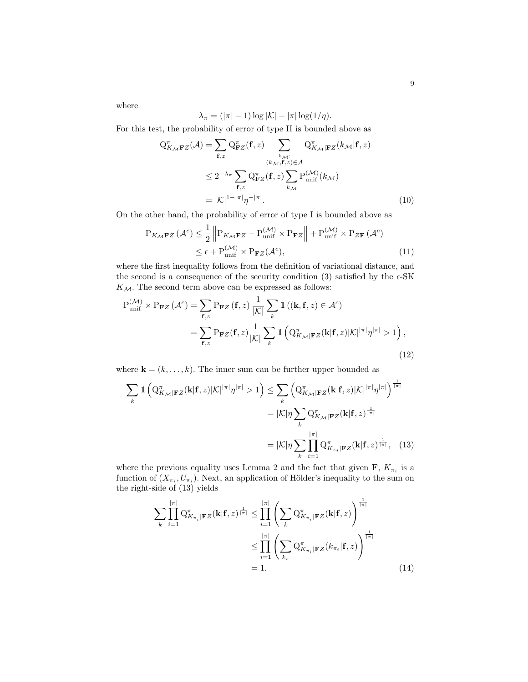where

$$
\lambda_{\pi} = (|\pi| - 1) \log |\mathcal{K}| - |\pi| \log(1/\eta).
$$

For this test, the probability of error of type II is bounded above as

$$
Q_{K_{\mathcal{M}}\mathbf{F}Z}^{\pi}(\mathcal{A}) = \sum_{\mathbf{f},z} Q_{\mathbf{F}Z}^{\pi}(\mathbf{f},z) \sum_{\substack{k_{\mathcal{M}}:\\\k_{\mathcal{M}}\mathbf{f},z\geq \epsilon\mathcal{A}}} Q_{K_{\mathcal{M}}|\mathbf{F}Z}^{\pi}(k_{\mathcal{M}}|\mathbf{f},z)
$$
  

$$
\leq 2^{-\lambda_{\pi}} \sum_{\mathbf{f},z} Q_{\mathbf{F}Z}^{\pi}(\mathbf{f},z) \sum_{k_{\mathcal{M}}} P_{\text{unif}}^{(\mathcal{M})}(k_{\mathcal{M}})
$$

$$
= |\mathcal{K}|^{1-|\pi|\eta^{-|\pi|}}. \tag{10}
$$

On the other hand, the probability of error of type I is bounded above as

$$
P_{K_{\mathcal{M}}\mathbf{F}Z}(\mathcal{A}^c) \leq \frac{1}{2} \left\| P_{K_{\mathcal{M}}\mathbf{F}Z} - P_{\text{unif}}^{(\mathcal{M})} \times P_{\mathbf{F}Z} \right\| + P_{\text{unif}}^{(\mathcal{M})} \times P_{Z\mathbf{F}}(\mathcal{A}^c)
$$
  

$$
\leq \epsilon + P_{\text{unif}}^{(\mathcal{M})} \times P_{\mathbf{F}Z}(\mathcal{A}^c),
$$
 (11)

where the first inequality follows from the definition of variational distance, and the second is a consequence of the security condition (3) satisfied by the  $\epsilon$ -SK  $K_{\mathcal{M}}.$  The second term above can be expressed as follows:

$$
P_{\text{unif}}^{(\mathcal{M})} \times P_{\mathbf{F}Z} (\mathcal{A}^c) = \sum_{\mathbf{f},z} P_{\mathbf{F}Z} (\mathbf{f},z) \frac{1}{|\mathcal{K}|} \sum_{k} \mathbb{1} ((\mathbf{k}, \mathbf{f}, z) \in \mathcal{A}^c)
$$
  
= 
$$
\sum_{\mathbf{f},z} P_{\mathbf{F}Z} (\mathbf{f}, z) \frac{1}{|\mathcal{K}|} \sum_{k} \mathbb{1} \left( Q_{K_{\mathcal{M}} | \mathbf{F}Z}^{\pi} (\mathbf{k} | \mathbf{f}, z) |\mathcal{K}|^{|\pi|} \eta^{|\pi|} > 1 \right),
$$
(12)

where  $\mathbf{k} = (k, \ldots, k)$ . The inner sum can be further upper bounded as

$$
\sum_{k} \mathbb{1} \left( \mathbf{Q}_{K_{\mathcal{M}}|\mathbf{F}Z}^{\pi}(\mathbf{k}|\mathbf{f}, z) | \mathcal{K} |^{|\pi|} \eta^{|\pi|} > 1 \right) \leq \sum_{k} \left( \mathbf{Q}_{K_{\mathcal{M}}|\mathbf{F}Z}^{\pi}(\mathbf{k}|\mathbf{f}, z) | \mathcal{K} |^{|\pi|} \eta^{|\pi|} \right)^{\frac{1}{|\pi|}}
$$

$$
= |\mathcal{K}| \eta \sum_{k} \mathbf{Q}_{K_{\mathcal{M}}|\mathbf{F}Z}^{\pi}(\mathbf{k}|\mathbf{f}, z)^{\frac{1}{|\pi|}}
$$

$$
= |\mathcal{K}| \eta \sum_{k} \prod_{i=1}^{|\pi|} \mathbf{Q}_{K_{\pi_{i}}|\mathbf{F}Z}^{\pi}(\mathbf{k}|\mathbf{f}, z)^{\frac{1}{|\pi|}}, \quad (13)
$$

where the previous equality uses Lemma 2 and the fact that given  $\mathbf{F}, K_{\pi_i}$  is a function of  $(X_{\pi_i}, U_{\pi_i})$ . Next, an application of Hölder's inequality to the sum on the right-side of (13) yields

$$
\sum_{k} \prod_{i=1}^{|\pi|} \mathbf{Q}_{K_{\pi_i}|\mathbf{F}Z}^{\pi}(\mathbf{k}|\mathbf{f}, z)^{\frac{1}{|\pi|}} \leq \prod_{i=1}^{|\pi|} \left( \sum_{k} \mathbf{Q}_{K_{\pi_i}|\mathbf{F}Z}^{\pi}(\mathbf{k}|\mathbf{f}, z) \right)^{\frac{1}{|\pi|}}
$$

$$
\leq \prod_{i=1}^{|\pi|} \left( \sum_{k_{\pi}} \mathbf{Q}_{K_{\pi_i}|\mathbf{F}Z}^{\pi}(k_{\pi_i}|\mathbf{f}, z) \right)^{\frac{1}{|\pi|}}
$$

$$
= 1.
$$
 (14)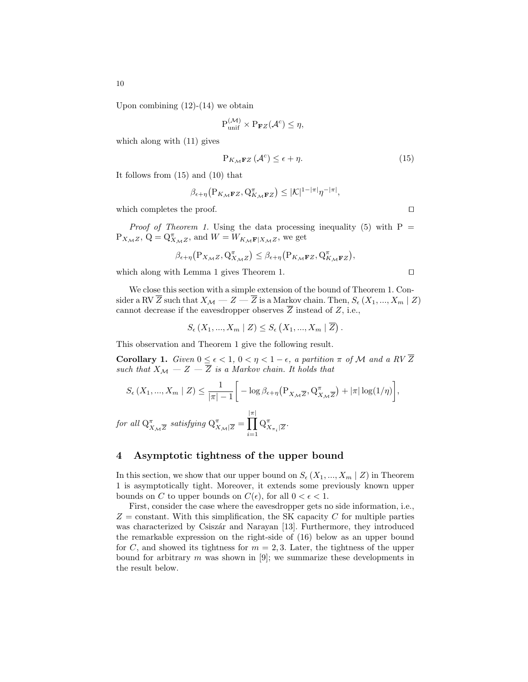Upon combining  $(12)-(14)$  we obtain

$$
P_{\text{unif}}^{(\mathcal{M})} \times P_{\mathbf{FZ}}(\mathcal{A}^c) \le \eta,
$$

which along with (11) gives

$$
P_{K_{\mathcal{M}}\mathbf{F}Z}\left(\mathcal{A}^{c}\right) \leq \epsilon + \eta. \tag{15}
$$

It follows from (15) and (10) that

$$
\beta_{\epsilon+\eta}(\mathbf{P}_{K_{\mathcal{M}}\mathbf{F}Z},\mathbf{Q}_{K_{\mathcal{M}}\mathbf{F}Z}^{\pi}) \leq |\mathcal{K}|^{1-|\pi|}\eta^{-|\pi|},
$$

which completes the proof.  $\Box$ 

*Proof of Theorem 1.* Using the data processing inequality (5) with  $P =$  $P_{X_{\mathcal{M}}Z}$ ,  $Q = Q_{X_{\mathcal{M}}Z}^{\pi}$ , and  $W = W_{K_{\mathcal{M}}\mathbf{F}|X_{\mathcal{M}}Z}$ , we get

$$
\beta_{\epsilon+\eta} \big( \mathbf{P}_{X_{\mathcal{M}}Z}, \mathbf{Q}_{X_{\mathcal{M}}Z}^{\pi} \big) \leq \beta_{\epsilon+\eta} \big( \mathbf{P}_{K_{\mathcal{M}}\mathbf{F}Z}, \mathbf{Q}_{K_{\mathcal{M}}\mathbf{F}Z}^{\pi} \big),
$$

which along with Lemma 1 gives Theorem 1.  $\Box$ 

We close this section with a simple extension of the bound of Theorem 1. Consider a RV  $\overline{Z}$  such that  $X_{\mathcal{M}}$   $Z$   $\overline{Z}$  is a Markov chain. Then,  $S_{\epsilon}(X_1, ..., X_m | Z)$ cannot decrease if the eavesdropper observes  $\overline{Z}$  instead of  $Z$ , i.e.,

$$
S_{\epsilon}(X_1, ..., X_m | Z) \le S_{\epsilon}(X_1, ..., X_m | \overline{Z}).
$$

This observation and Theorem 1 give the following result.

Corollary 1. Given  $0 \leq \epsilon < 1$ ,  $0 < \eta < 1 - \epsilon$ , a partition  $\pi$  of M and a RV  $\overline{Z}$ such that  $X_{\mathcal{M}} - Z - \overline{Z}$  is a Markov chain. It holds that

$$
S_{\epsilon}(X_1, ..., X_m | Z) \le \frac{1}{|\pi| - 1} \left[ -\log \beta_{\epsilon + \eta} \left( \mathbf{P}_{X_{\mathcal{M}} \overline{Z}}, \mathbf{Q}_{X_{\mathcal{M}} \overline{Z}}^{\pi} \right) + |\pi| \log(1/\eta) \right],
$$
  
for all  $\mathbf{Q}_{X_{\mathcal{M}} \overline{Z}}^{\pi}$  satisfying  $\mathbf{Q}_{X_{\mathcal{M}} |\overline{Z}}^{\pi} = \prod_{i=1}^{|\pi|} \mathbf{Q}_{X_{\pi_i} |\overline{Z}}^{\pi}$ .

 $i=1$ 

## 4 Asymptotic tightness of the upper bound

In this section, we show that our upper bound on  $S_{\epsilon}(X_1, ..., X_m | Z)$  in Theorem 1 is asymptotically tight. Moreover, it extends some previously known upper bounds on C to upper bounds on  $C(\epsilon)$ , for all  $0 < \epsilon < 1$ .

First, consider the case where the eavesdropper gets no side information, i.e.,  $Z =$  constant. With this simplification, the SK capacity C for multiple parties was characterized by Csiszár and Narayan [13]. Furthermore, they introduced the remarkable expression on the right-side of (16) below as an upper bound for C, and showed its tightness for  $m = 2,3$ . Later, the tightness of the upper bound for arbitrary m was shown in [9]; we summarize these developments in the result below.

10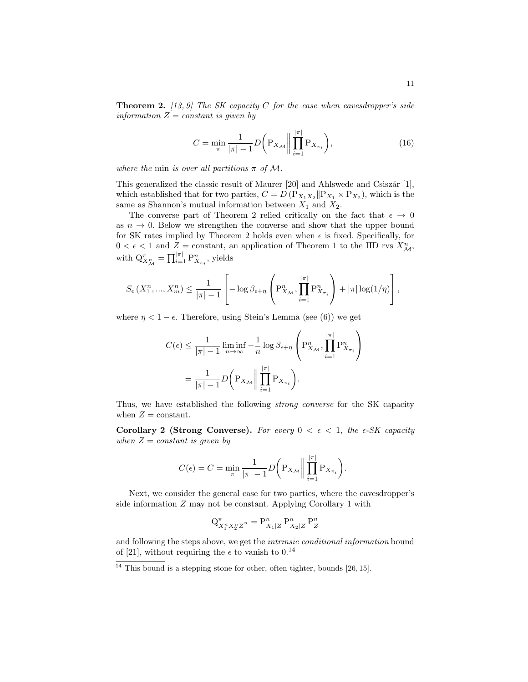**Theorem 2.** [13, 9] The SK capacity C for the case when eavesdropper's side information  $Z = constant$  is given by

$$
C = \min_{\pi} \frac{1}{|\pi| - 1} D\left(\mathbf{P}_{X_{\mathcal{M}}}\middle\|\prod_{i=1}^{|\pi|} \mathbf{P}_{X_{\pi_i}}\right),\tag{16}
$$

where the min is over all partitions  $\pi$  of M.

This generalized the classic result of Maurer  $[20]$  and Ahlswede and Csiszár  $[1]$ , which established that for two parties,  $C = D(P_{X_1 X_2} || P_{X_1} \times P_{X_2})$ , which is the same as Shannon's mutual information between  $X_1$  and  $X_2$ .

The converse part of Theorem 2 relied critically on the fact that  $\epsilon \to 0$ as  $n \to 0$ . Below we strengthen the converse and show that the upper bound for SK rates implied by Theorem 2 holds even when  $\epsilon$  is fixed. Specifically, for  $0 < \epsilon < 1$  and  $Z = constant$ , an application of Theorem 1 to the IID rvs  $X_{\mathcal{M}}^n$ , with  $Q_{X_{\mathcal{M}}}^{\pi} = \prod_{i=1}^{|\pi|} P_{X_{\pi_i}}^n$ , yields

$$
S_{\epsilon}(X_1^n, ..., X_m^n) \le \frac{1}{|\pi| - 1} \left[ -\log \beta_{\epsilon + \eta} \left( P_{X_{\mathcal{M}}}^n, \prod_{i=1}^{|\pi|} P_{X_{\pi_i}}^n \right) + |\pi| \log(1/\eta) \right],
$$

where  $\eta < 1 - \epsilon$ . Therefore, using Stein's Lemma (see (6)) we get

$$
C(\epsilon) \le \frac{1}{|\pi| - 1} \liminf_{n \to \infty} \frac{1}{n} \log \beta_{\epsilon + \eta} \left( P_{X_{\mathcal{M}}}^n, \prod_{i=1}^{|\pi|} P_{X_{\pi_i}}^n \right)
$$

$$
= \frac{1}{|\pi| - 1} D\left( P_{X_{\mathcal{M}}} \middle\| \prod_{i=1}^{|\pi|} P_{X_{\pi_i}} \right).
$$

Thus, we have established the following strong converse for the SK capacity when  $Z = constant$ .

Corollary 2 (Strong Converse). For every  $0 < \epsilon < 1$ , the  $\epsilon$ -SK capacity when  $Z = constant$  is given by

$$
C(\epsilon) = C = \min_{\pi} \frac{1}{|\pi| - 1} D\left(\mathbf{P}_{X_{\mathcal{M}}}\middle\|\prod_{i=1}^{|\pi|} \mathbf{P}_{X_{\pi_i}}\right).
$$

Next, we consider the general case for two parties, where the eavesdropper's side information Z may not be constant. Applying Corollary 1 with

$$
{\mathbf Q}^\pi_{X_1^nX_2^n\overline{Z}^n}={\mathbf P}^n_{X_1|\overline{Z}}\,{\mathbf P}^n_{X_2|\overline{Z}}\,{\mathbf P}^n_{\overline{Z}}
$$

and following the steps above, we get the intrinsic conditional information bound of [21], without requiring the  $\epsilon$  to vanish to 0.<sup>14</sup>

 $\frac{14}{14}$  This bound is a stepping stone for other, often tighter, bounds [26, 15].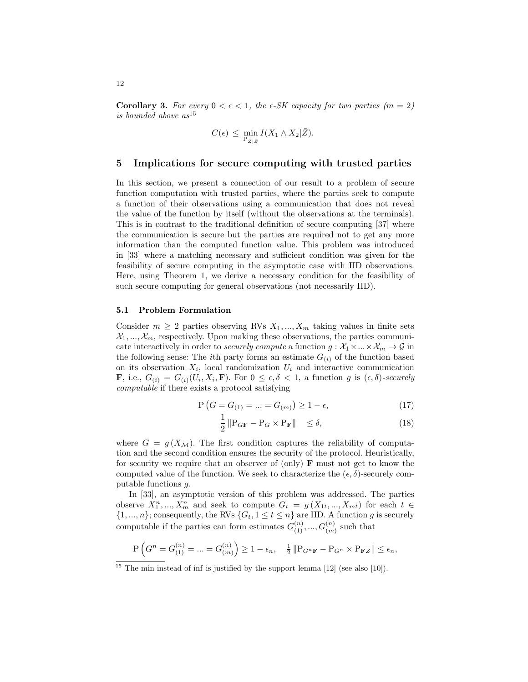**Corollary 3.** For every  $0 < \epsilon < 1$ , the  $\epsilon$ -SK capacity for two parties  $(m = 2)$ is bounded above  $as^{15}$ 

$$
C(\epsilon) \leq \min_{P_{\bar{Z}|Z}} I(X_1 \wedge X_2 | \bar{Z}).
$$

#### 5 Implications for secure computing with trusted parties

In this section, we present a connection of our result to a problem of secure function computation with trusted parties, where the parties seek to compute a function of their observations using a communication that does not reveal the value of the function by itself (without the observations at the terminals). This is in contrast to the traditional definition of secure computing [37] where the communication is secure but the parties are required not to get any more information than the computed function value. This problem was introduced in [33] where a matching necessary and sufficient condition was given for the feasibility of secure computing in the asymptotic case with IID observations. Here, using Theorem 1, we derive a necessary condition for the feasibility of such secure computing for general observations (not necessarily IID).

#### 5.1 Problem Formulation

Consider  $m \geq 2$  parties observing RVs  $X_1, ..., X_m$  taking values in finite sets  $\mathcal{X}_1, \ldots, \mathcal{X}_m$ , respectively. Upon making these observations, the parties communicate interactively in order to *securely compute* a function  $g : \mathcal{X}_1 \times \ldots \times \mathcal{X}_m \to \mathcal{G}$  in the following sense: The *i*th party forms an estimate  $G_{(i)}$  of the function based on its observation  $X_i$ , local randomization  $U_i$  and interactive communication **F**, i.e.,  $G_{(i)} = G_{(i)}(U_i, X_i, \mathbf{F})$ . For  $0 \le \epsilon, \delta < 1$ , a function g is  $(\epsilon, \delta)$ -securely computable if there exists a protocol satisfying

$$
P(G = G_{(1)} = ... = G_{(m)}) \ge 1 - \epsilon,
$$
\n(17)

$$
\frac{1}{2} \|\mathbf{P}_{G\mathbf{F}} - \mathbf{P}_G \times \mathbf{P}_{\mathbf{F}}\| \le \delta, \tag{18}
$$

where  $G = g(X_{\mathcal{M}})$ . The first condition captures the reliability of computation and the second condition ensures the security of the protocol. Heuristically, for security we require that an observer of (only)  $\bf{F}$  must not get to know the computed value of the function. We seek to characterize the  $(\epsilon, \delta)$ -securely computable functions g.

In [33], an asymptotic version of this problem was addressed. The parties observe  $X_1^n, ..., X_m^n$  and seek to compute  $G_t = g(X_{1t}, ..., X_{mt})$  for each  $t \in$  $\{1, ..., n\}$ ; consequently, the RVs  $\{G_t, 1 \le t \le n\}$  are IID. A function g is securely computable if the parties can form estimates  $G_{(1)}^{(n)},...,G_{(m)}^{(n)}$  such that

$$
P\left(G^n = G_{(1)}^{(n)} = ... = G_{(m)}^{(n)}\right) \ge 1 - \epsilon_n, \quad \frac{1}{2} || P_{G^n F} - P_{G^n} \times P_{FZ} || \le \epsilon_n,
$$

<sup>&</sup>lt;sup>15</sup> The min instead of inf is justified by the support lemma  $[12]$  (see also  $[10]$ ).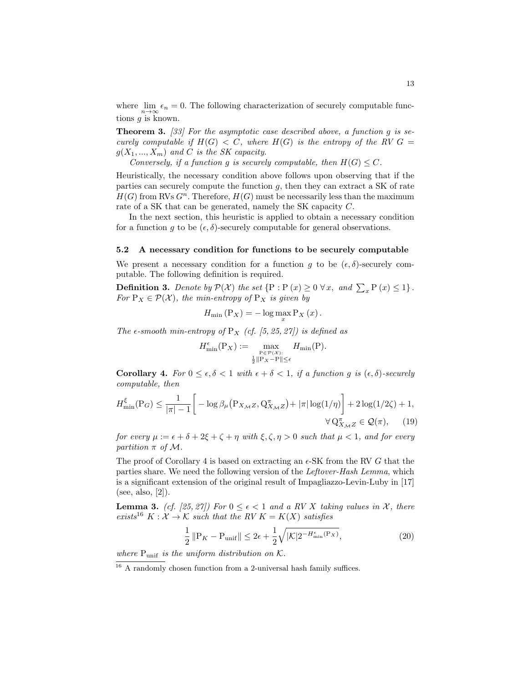where  $\lim_{n\to\infty} \epsilon_n = 0$ . The following characterization of securely computable functions g is known.

**Theorem 3.** [33] For the asymptotic case described above, a function q is securely computable if  $H(G) < C$ , where  $H(G)$  is the entropy of the RV  $G =$  $g(X_1, ..., X_m)$  and C is the SK capacity.

Conversely, if a function q is securely computable, then  $H(G) \leq C$ .

Heuristically, the necessary condition above follows upon observing that if the parties can securely compute the function  $q$ , then they can extract a SK of rate  $H(G)$  from RVs  $G<sup>n</sup>$ . Therefore,  $H(G)$  must be necessarily less than the maximum rate of a SK that can be generated, namely the SK capacity C.

In the next section, this heuristic is applied to obtain a necessary condition for a function q to be  $(\epsilon, \delta)$ -securely computable for general observations.

#### 5.2 A necessary condition for functions to be securely computable

We present a necessary condition for a function q to be  $(\epsilon, \delta)$ -securely computable. The following definition is required.

**Definition 3.** Denote by  $\mathcal{P}(\mathcal{X})$  the set  $\{P : P(x) \geq 0 \,\forall x, \text{ and } \sum_x P(x) \leq 1\}$ . For  $P_X \in \mathcal{P}(\mathcal{X})$ , the min-entropy of  $P_X$  is given by

$$
H_{\min}\left(\mathbf{P}_X\right) = -\log \max_x \mathbf{P}_X\left(x\right).
$$

The  $\epsilon$ -smooth min-entropy of P<sub>X</sub> (cf. [5, 25, 27]) is defined as

$$
H_{\min}^{\epsilon}(\mathbf{P}_X) := \max_{\substack{\mathbf{P} \in \mathcal{P}(X) : \\ \frac{1}{2} ||\mathbf{P}_X - \mathbf{P}|| \le \epsilon}} H_{\min}(\mathbf{P}).
$$

Corollary 4. For  $0 \leq \epsilon, \delta < 1$  with  $\epsilon + \delta < 1$ , if a function g is  $(\epsilon, \delta)$ -securely computable, then

$$
H_{\min}^{\xi}(\mathbf{P}_G) \le \frac{1}{|\pi| - 1} \left[ -\log \beta_{\mu} \left( \mathbf{P}_{X_{\mathcal{M}}Z}, \mathbf{Q}_{X_{\mathcal{M}}Z}^{\pi} \right) + |\pi| \log(1/\eta) \right] + 2 \log(1/2\zeta) + 1,
$$
  

$$
\forall \mathbf{Q}_{X_{\mathcal{M}}Z}^{\pi} \in \mathcal{Q}(\pi), \qquad (19)
$$

for every  $\mu := \epsilon + \delta + 2\xi + \zeta + \eta$  with  $\xi, \zeta, \eta > 0$  such that  $\mu < 1$ , and for every partition  $\pi$  of M.

The proof of Corollary 4 is based on extracting an  $\epsilon$ -SK from the RV G that the parties share. We need the following version of the Leftover-Hash Lemma, which is a significant extension of the original result of Impagliazzo-Levin-Luby in [17] (see, also, [2]).

**Lemma 3.** (cf. [25, 27]) For  $0 \le \epsilon < 1$  and a RV X taking values in X, there exists<sup>16</sup> K :  $\mathcal{X} \to \mathcal{K}$  such that the RV K = K(X) satisfies

$$
\frac{1}{2} \left\| \mathbf{P}_K - \mathbf{P}_{\text{unif}} \right\| \le 2\epsilon + \frac{1}{2} \sqrt{|K| 2^{-H_{\text{min}}^{\epsilon}(\mathbf{P}_X)}},\tag{20}
$$

where  $P_{\text{unif}}$  is the uniform distribution on  $K$ .

<sup>16</sup> A randomly chosen function from a 2-universal hash family suffices.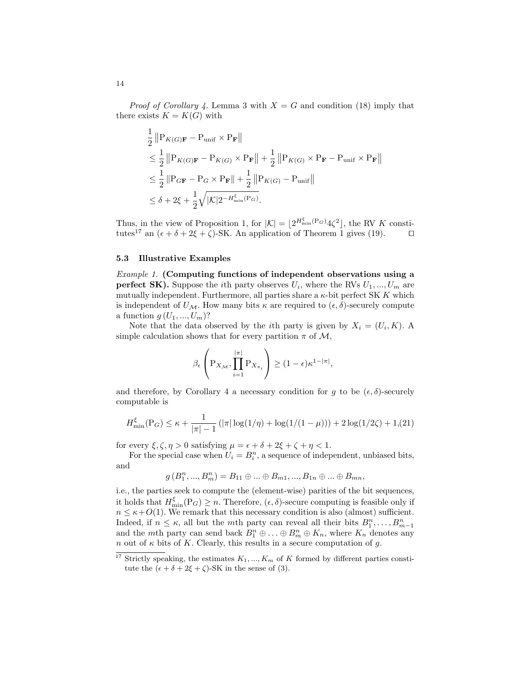*Proof of Corollary 4.* Lemma 3 with  $X = G$  and condition (18) imply that there exists  $K = K(G)$  with

$$
\frac{1}{2} || P_{K(G)\mathbf{F}} - P_{\text{unif}} \times P_{\mathbf{F}} ||
$$
\n
$$
\leq \frac{1}{2} || P_{K(G)\mathbf{F}} - P_{K(G)} \times P_{\mathbf{F}} || + \frac{1}{2} || P_{K(G)} \times P_{\mathbf{F}} - P_{\text{unif}} \times P_{\mathbf{F}} ||
$$
\n
$$
\leq \frac{1}{2} || P_{G\mathbf{F}} - P_G \times P_{\mathbf{F}} || + \frac{1}{2} || P_{K(G)} - P_{\text{unif}} ||
$$
\n
$$
\leq \delta + 2\xi + \frac{1}{2} \sqrt{|K| 2^{-H_{\text{min}}^{\xi}(\mathbf{P}_G)}}.
$$

Thus, in the view of Proposition 1, for  $|\mathcal{K}| = \lfloor 2^{H_{\min}^{\xi}(\text{P}_G)} 4\zeta^2 \rfloor$ , the RV K constitutes<sup>17</sup> an  $(\epsilon + \delta + 2\xi + \zeta)$ -SK. An application of Theorem 1 gives (19).

#### 5.3 Illustrative Examples

Example 1. (Computing functions of independent observations using a **perfect SK).** Suppose the *i*th party observes  $U_i$ , where the RVs  $U_1, ..., U_m$  are mutually independent. Furthermore, all parties share a  $\kappa$ -bit perfect SK K which is independent of  $U_{\mathcal{M}}$ . How many bits  $\kappa$  are required to  $(\epsilon, \delta)$ -securely compute a function  $g(U_1, ..., U_m)$ ?

Note that the data observed by the *i*th party is given by  $X_i = (U_i, K)$ . A simple calculation shows that for every partition  $\pi$  of  $\mathcal{M}$ ,

$$
\beta_{\epsilon} \left( P_{X_{\mathcal{M}}} , \prod_{i=1}^{|\pi|} P_{X_{\pi_i}} \right) \geq (1 - \epsilon) \kappa^{1 - |\pi|},
$$

and therefore, by Corollary 4 a necessary condition for g to be  $(\epsilon, \delta)$ -securely computable is

$$
H_{\min}^{\xi}(\mathbf{P}_G) \le \kappa + \frac{1}{|\pi| - 1} \left( |\pi| \log(1/\eta) + \log(1/(1 - \mu)) \right) + 2 \log(1/2\zeta) + 1, (21)
$$

for every  $\xi, \zeta, \eta > 0$  satisfying  $\mu = \epsilon + \delta + 2\xi + \zeta + \eta < 1$ .

For the special case when  $U_i = B_i^n$ , a sequence of independent, unbiased bits, and

$$
g(B_1^n,...,B_m^n)=B_{11}\oplus...\oplus B_{m1},...,B_{1n}\oplus...\oplus B_{mn},
$$

i.e., the parties seek to compute the (element-wise) parities of the bit sequences, it holds that  $H_{\min}^{\xi}(\mathrm{P}_G) \geq n$ . Therefore,  $(\epsilon, \delta)$ -secure computing is feasible only if  $n \leq \kappa + O(1)$ . We remark that this necessary condition is also (almost) sufficient. Indeed, if  $n \leq \kappa$ , all but the mth party can reveal all their bits  $B_1^n, \ldots, B_{m-1}^n$ and the mth party can send back  $B_1^n \oplus \ldots \oplus B_m^n \oplus K_n$ , where  $K_n$  denotes any n out of  $\kappa$  bits of K. Clearly, this results in a secure computation of g.

14

<sup>&</sup>lt;sup>17</sup> Strictly speaking, the estimates  $K_1, ..., K_m$  of K formed by different parties constitute the  $(\epsilon + \delta + 2\xi + \zeta)$ -SK in the sense of (3).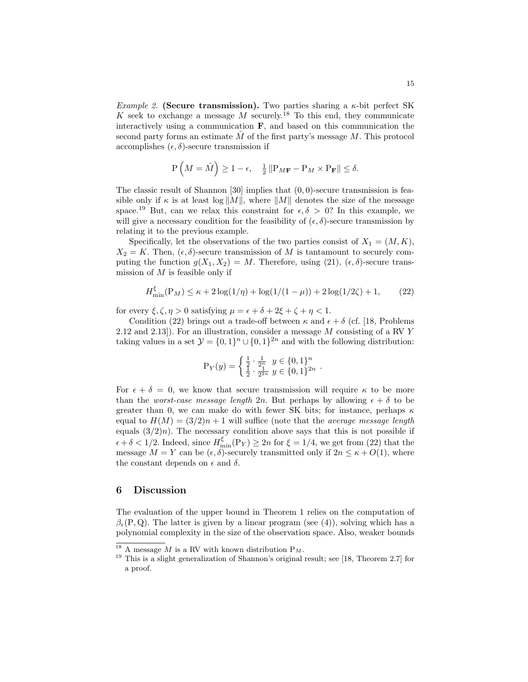Example 2. (Secure transmission). Two parties sharing a  $\kappa$ -bit perfect SK K seek to exchange a message M securely.<sup>18</sup> To this end, they communicate interactively using a communication  $\bf{F}$ , and based on this communication the second party forms an estimate  $\hat{M}$  of the first party's message  $M$ . This protocol accomplishes  $(\epsilon, \delta)$ -secure transmission if

$$
P\left(M = \hat{M}\right) \ge 1 - \epsilon, \quad \frac{1}{2} \left\|P_{M\mathbf{F}} - P_M \times P_{\mathbf{F}}\right\| \le \delta.
$$

The classic result of Shannon [30] implies that  $(0,0)$ -secure transmission is feasible only if  $\kappa$  is at least log  $||M||$ , where  $||M||$  denotes the size of the message space.<sup>19</sup> But, can we relax this constraint for  $\epsilon, \delta > 0$ ? In this example, we will give a necessary condition for the feasibility of  $(\epsilon, \delta)$ -secure transmission by relating it to the previous example.

Specifically, let the observations of the two parties consist of  $X_1 = (M, K)$ ,  $X_2 = K$ . Then,  $(\epsilon, \delta)$ -secure transmission of M is tantamount to securely computing the function  $g(X_1, X_2) = M$ . Therefore, using (21),  $(\epsilon, \delta)$ -secure transmission of  $M$  is feasible only if

$$
H_{\min}^{\xi}(\mathbf{P}_M) \le \kappa + 2\log(1/\eta) + \log(1/(1-\mu)) + 2\log(1/2\zeta) + 1,\tag{22}
$$

for every  $\xi, \zeta, \eta > 0$  satisfying  $\mu = \epsilon + \delta + 2\xi + \zeta + \eta < 1$ .

Condition (22) brings out a trade-off between  $\kappa$  and  $\epsilon + \delta$  (cf. [18, Problems 2.12 and 2.13]). For an illustration, consider a message M consisting of a RV Y taking values in a set  $\mathcal{Y} = \{0,1\}^n \cup \{0,1\}^{2n}$  and with the following distribution:

$$
P_Y(y) = \begin{cases} \frac{1}{2} \cdot \frac{1}{2^n} & y \in \{0, 1\}^n \\ \frac{1}{2} \cdot \frac{1}{2^{2n}} & y \in \{0, 1\}^{2n} \end{cases}.
$$

For  $\epsilon + \delta = 0$ , we know that secure transmission will require  $\kappa$  to be more than the worst-case message length 2n. But perhaps by allowing  $\epsilon + \delta$  to be greater than 0, we can make do with fewer SK bits; for instance, perhaps  $\kappa$ equal to  $H(M) = (3/2)n + 1$  will suffice (note that the *average message length* equals  $(3/2)n$ . The necessary condition above says that this is not possible if  $\epsilon + \delta < 1/2$ . Indeed, since  $H_{\min}^{\xi}(\mathcal{P}_Y) \ge 2n$  for  $\xi = 1/4$ , we get from (22) that the message  $M = Y$  can be  $(\epsilon, \delta)$ -securely transmitted only if  $2n \leq \kappa + O(1)$ , where the constant depends on  $\epsilon$  and  $\delta$ .

## 6 Discussion

The evaluation of the upper bound in Theorem 1 relies on the computation of  $\beta_{\epsilon}(\text{P}, \text{Q})$ . The latter is given by a linear program (see (4)), solving which has a polynomial complexity in the size of the observation space. Also, weaker bounds

<sup>&</sup>lt;sup>18</sup> A message M is a RV with known distribution  $P_M$ .

<sup>&</sup>lt;sup>19</sup> This is a slight generalization of Shannon's original result; see [18, Theorem 2.7] for a proof.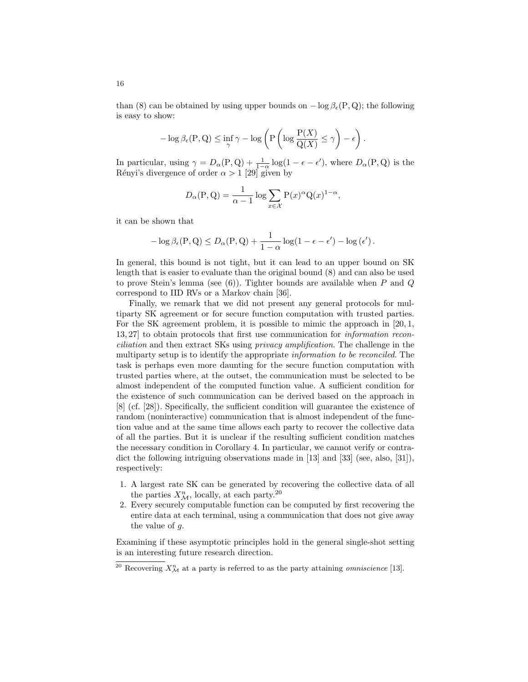than (8) can be obtained by using upper bounds on  $-\log \beta_e(P,Q)$ ; the following is easy to show:

$$
-\log \beta_{\epsilon}(\mathbf{P}, \mathbf{Q}) \leq \inf_{\gamma} \gamma - \log \left( \mathbf{P} \left( \log \frac{\mathbf{P}(X)}{\mathbf{Q}(X)} \leq \gamma \right) - \epsilon \right).
$$

In particular, using  $\gamma = D_{\alpha}(P, Q) + \frac{1}{1-\alpha} \log(1 - \epsilon - \epsilon')$ , where  $D_{\alpha}(P, Q)$  is the Rényi's divergence of order  $\alpha > 1$  [29] given by

$$
D_{\alpha}(\mathbf{P}, \mathbf{Q}) = \frac{1}{\alpha - 1} \log \sum_{x \in \mathcal{X}} \mathbf{P}(x)^{\alpha} \mathbf{Q}(x)^{1 - \alpha},
$$

it can be shown that

$$
-\log \beta_{\epsilon}(\mathbf{P}, \mathbf{Q}) \le D_{\alpha}(\mathbf{P}, \mathbf{Q}) + \frac{1}{1-\alpha} \log(1-\epsilon-\epsilon') - \log(\epsilon').
$$

In general, this bound is not tight, but it can lead to an upper bound on SK length that is easier to evaluate than the original bound (8) and can also be used to prove Stein's lemma (see  $(6)$ ). Tighter bounds are available when P and Q correspond to IID RVs or a Markov chain [36].

Finally, we remark that we did not present any general protocols for multiparty SK agreement or for secure function computation with trusted parties. For the SK agreement problem, it is possible to mimic the approach in [20, 1, 13, 27] to obtain protocols that first use communication for information reconciliation and then extract SKs using privacy amplification. The challenge in the multiparty setup is to identify the appropriate information to be reconciled. The task is perhaps even more daunting for the secure function computation with trusted parties where, at the outset, the communication must be selected to be almost independent of the computed function value. A sufficient condition for the existence of such communication can be derived based on the approach in [8] (cf. [28]). Specifically, the sufficient condition will guarantee the existence of random (noninteractive) communication that is almost independent of the function value and at the same time allows each party to recover the collective data of all the parties. But it is unclear if the resulting sufficient condition matches the necessary condition in Corollary 4. In particular, we cannot verify or contradict the following intriguing observations made in [13] and [33] (see, also, [31]), respectively:

- 1. A largest rate SK can be generated by recovering the collective data of all the parties  $X_{\mathcal{M}}^n$ , locally, at each party.<sup>20</sup>
- 2. Every securely computable function can be computed by first recovering the entire data at each terminal, using a communication that does not give away the value of g.

Examining if these asymptotic principles hold in the general single-shot setting is an interesting future research direction.

<sup>&</sup>lt;sup>20</sup> Recovering  $X_{\mathcal{M}}^n$  at a party is referred to as the party attaining *omniscience* [13].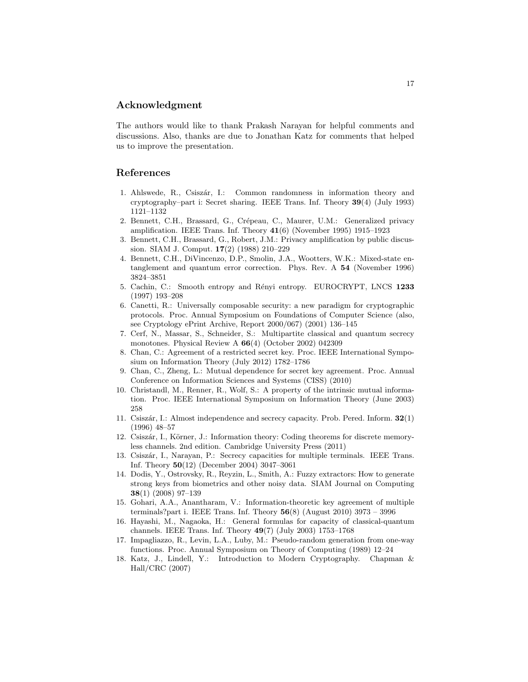# Acknowledgment

The authors would like to thank Prakash Narayan for helpful comments and discussions. Also, thanks are due to Jonathan Katz for comments that helped us to improve the presentation.

# References

- 1. Ahlswede, R., Csiszár, I.: Common randomness in information theory and cryptography–part i: Secret sharing. IEEE Trans. Inf. Theory 39(4) (July 1993) 1121–1132
- 2. Bennett, C.H., Brassard, G., Crépeau, C., Maurer, U.M.: Generalized privacy amplification. IEEE Trans. Inf. Theory  $41(6)$  (November 1995) 1915–1923
- 3. Bennett, C.H., Brassard, G., Robert, J.M.: Privacy amplification by public discussion. SIAM J. Comput. 17(2) (1988) 210–229
- 4. Bennett, C.H., DiVincenzo, D.P., Smolin, J.A., Wootters, W.K.: Mixed-state entanglement and quantum error correction. Phys. Rev. A 54 (November 1996) 3824–3851
- 5. Cachin, C.: Smooth entropy and Rényi entropy. EUROCRYPT, LNCS 1233 (1997) 193–208
- 6. Canetti, R.: Universally composable security: a new paradigm for cryptographic protocols. Proc. Annual Symposium on Foundations of Computer Science (also, see Cryptology ePrint Archive, Report 2000/067) (2001) 136–145
- 7. Cerf, N., Massar, S., Schneider, S.: Multipartite classical and quantum secrecy monotones. Physical Review A 66(4) (October 2002) 042309
- 8. Chan, C.: Agreement of a restricted secret key. Proc. IEEE International Symposium on Information Theory (July 2012) 1782–1786
- 9. Chan, C., Zheng, L.: Mutual dependence for secret key agreement. Proc. Annual Conference on Information Sciences and Systems (CISS) (2010)
- 10. Christandl, M., Renner, R., Wolf, S.: A property of the intrinsic mutual information. Proc. IEEE International Symposium on Information Theory (June 2003) 258
- 11. Csiszár, I.: Almost independence and secrecy capacity. Prob. Pered. Inform.  $32(1)$ (1996) 48–57
- 12. Csiszár, I., Körner, J.: Information theory: Coding theorems for discrete memoryless channels. 2nd edition. Cambridge University Press (2011)
- 13. Csiszár, I., Narayan, P.: Secrecy capacities for multiple terminals. IEEE Trans. Inf. Theory 50(12) (December 2004) 3047–3061
- 14. Dodis, Y., Ostrovsky, R., Reyzin, L., Smith, A.: Fuzzy extractors: How to generate strong keys from biometrics and other noisy data. SIAM Journal on Computing 38(1) (2008) 97–139
- 15. Gohari, A.A., Anantharam, V.: Information-theoretic key agreement of multiple terminals?part i. IEEE Trans. Inf. Theory  $56(8)$  (August 2010) 3973 – 3996
- 16. Hayashi, M., Nagaoka, H.: General formulas for capacity of classical-quantum channels. IEEE Trans. Inf. Theory 49(7) (July 2003) 1753–1768
- 17. Impagliazzo, R., Levin, L.A., Luby, M.: Pseudo-random generation from one-way functions. Proc. Annual Symposium on Theory of Computing (1989) 12–24
- 18. Katz, J., Lindell, Y.: Introduction to Modern Cryptography. Chapman & Hall/CRC (2007)